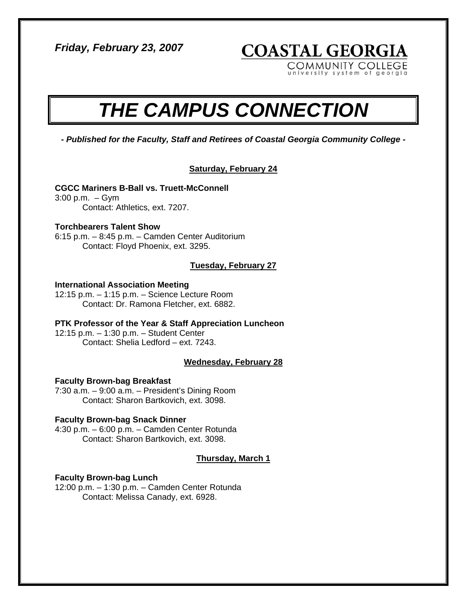*Friday, February 23, 2007* 

**COASTAL GEORGIA** 

COMMUNITY COLLEGE rsity system of georgia

# *THE CAMPUS CONNECTION*

*- Published for the Faculty, Staff and Retirees of Coastal Georgia Community College -* 

#### **Saturday, February 24**

#### **CGCC Mariners B-Ball vs. Truett-McConnell**

3:00 p.m. – Gym Contact: Athletics, ext. 7207.

#### **Torchbearers Talent Show**

6:15 p.m. – 8:45 p.m. – Camden Center Auditorium Contact: Floyd Phoenix, ext. 3295.

#### **Tuesday, February 27**

#### **International Association Meeting**

12:15 p.m. – 1:15 p.m. – Science Lecture Room Contact: Dr. Ramona Fletcher, ext. 6882.

### **PTK Professor of the Year & Staff Appreciation Luncheon**

12:15 p.m. – 1:30 p.m. – Student Center Contact: Shelia Ledford – ext. 7243.

#### **Wednesday, February 28**

#### **Faculty Brown-bag Breakfast**

7:30 a.m. – 9:00 a.m. – President's Dining Room Contact: Sharon Bartkovich, ext. 3098.

#### **Faculty Brown-bag Snack Dinner**

4:30 p.m. – 6:00 p.m. – Camden Center Rotunda Contact: Sharon Bartkovich, ext. 3098.

#### **Thursday, March 1**

#### **Faculty Brown-bag Lunch**

12:00 p.m. – 1:30 p.m. – Camden Center Rotunda Contact: Melissa Canady, ext. 6928.